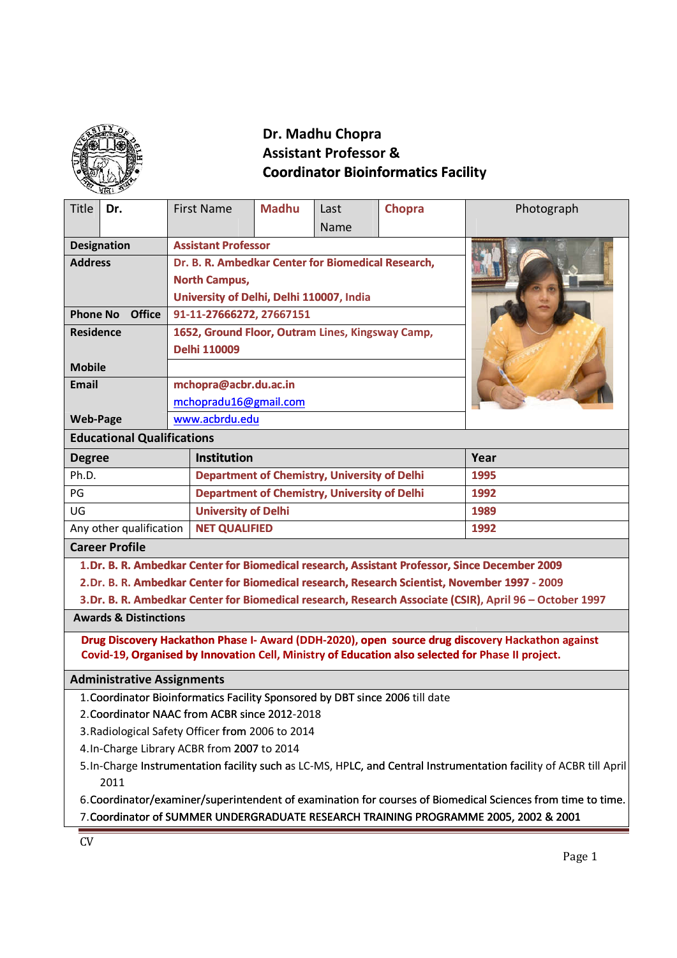

# **Assistant Professor & Coordinator Bioinformatics Facility**

|                                                                                                                                                                                                     |                                          |                                                     | Dr. Madhu Chopra                                    |                                                  |        |            |  |
|-----------------------------------------------------------------------------------------------------------------------------------------------------------------------------------------------------|------------------------------------------|-----------------------------------------------------|-----------------------------------------------------|--------------------------------------------------|--------|------------|--|
|                                                                                                                                                                                                     |                                          | <b>Assistant Professor &amp;</b>                    |                                                     |                                                  |        |            |  |
|                                                                                                                                                                                                     |                                          | <b>Coordinator Bioinformatics Facility</b>          |                                                     |                                                  |        |            |  |
|                                                                                                                                                                                                     |                                          |                                                     |                                                     |                                                  |        |            |  |
| <b>Title</b><br>Dr.                                                                                                                                                                                 |                                          | <b>First Name</b>                                   | <b>Madhu</b>                                        | Last                                             | Chopra | Photograph |  |
|                                                                                                                                                                                                     |                                          |                                                     |                                                     | Name                                             |        |            |  |
| <b>Designation</b>                                                                                                                                                                                  |                                          | <b>Assistant Professor</b>                          |                                                     |                                                  |        |            |  |
| <b>Address</b><br>Dr. B. R. Ambedkar Center for Biomedical Research,                                                                                                                                |                                          |                                                     |                                                     |                                                  |        |            |  |
| <b>North Campus,</b>                                                                                                                                                                                |                                          |                                                     |                                                     |                                                  |        |            |  |
|                                                                                                                                                                                                     | University of Delhi, Delhi 110007, India |                                                     |                                                     |                                                  |        |            |  |
| <b>Phone No</b><br><b>Office</b>                                                                                                                                                                    |                                          | 91-11-27666272, 27667151                            |                                                     |                                                  |        |            |  |
| <b>Residence</b>                                                                                                                                                                                    |                                          |                                                     |                                                     | 1652, Ground Floor, Outram Lines, Kingsway Camp, |        |            |  |
|                                                                                                                                                                                                     |                                          | <b>Delhi 110009</b>                                 |                                                     |                                                  |        |            |  |
| <b>Mobile</b>                                                                                                                                                                                       |                                          |                                                     |                                                     |                                                  |        |            |  |
| <b>Email</b>                                                                                                                                                                                        |                                          | mchopra@acbr.du.ac.in                               |                                                     |                                                  |        |            |  |
|                                                                                                                                                                                                     |                                          | mchopradu16@gmail.com                               |                                                     |                                                  |        |            |  |
| <b>Web-Page</b>                                                                                                                                                                                     |                                          | www.acbrdu.edu                                      |                                                     |                                                  |        |            |  |
| <b>Educational Qualifications</b>                                                                                                                                                                   |                                          |                                                     |                                                     |                                                  |        |            |  |
| <b>Institution</b><br><b>Degree</b>                                                                                                                                                                 |                                          |                                                     |                                                     |                                                  | Year   |            |  |
| Ph.D.                                                                                                                                                                                               |                                          |                                                     | <b>Department of Chemistry, University of Delhi</b> |                                                  |        | 1995       |  |
| PG                                                                                                                                                                                                  |                                          | <b>Department of Chemistry, University of Delhi</b> |                                                     |                                                  | 1992   |            |  |
| UG<br><b>University of Delhi</b>                                                                                                                                                                    |                                          |                                                     |                                                     |                                                  | 1989   |            |  |
| Any other qualification                                                                                                                                                                             |                                          | <b>NET QUALIFIED</b>                                |                                                     |                                                  |        | 1992       |  |
| <b>Career Profile</b>                                                                                                                                                                               |                                          |                                                     |                                                     |                                                  |        |            |  |
| 1.Dr. B. R. Ambedkar Center for Biomedical research, Assistant Professor, Since December 2009                                                                                                       |                                          |                                                     |                                                     |                                                  |        |            |  |
| 2.Dr. B. R. Ambedkar Center for Biomedical research, Research Scientist, November 1997 - 2009                                                                                                       |                                          |                                                     |                                                     |                                                  |        |            |  |
| 3.Dr. B. R. Ambedkar Center for Biomedical research, Research Associate (CSIR), April 96 - October 1997                                                                                             |                                          |                                                     |                                                     |                                                  |        |            |  |
| <b>Awards &amp; Distinctions</b>                                                                                                                                                                    |                                          |                                                     |                                                     |                                                  |        |            |  |
| Drug Discovery Hackathon Phase I- Award (DDH-2020), open source drug discovery Hackathon against                                                                                                    |                                          |                                                     |                                                     |                                                  |        |            |  |
| Covid-19, Organised by Innovation Cell, Ministry of Education also selected for Phase II project.                                                                                                   |                                          |                                                     |                                                     |                                                  |        |            |  |
| <b>Administrative Assignments</b>                                                                                                                                                                   |                                          |                                                     |                                                     |                                                  |        |            |  |
| 1. Coordinator Bioinformatics Facility Sponsored by DBT since 2006 till date                                                                                                                        |                                          |                                                     |                                                     |                                                  |        |            |  |
| 2. Coordinator NAAC from ACBR since 2012-2018                                                                                                                                                       |                                          |                                                     |                                                     |                                                  |        |            |  |
| 3. Radiological Safety Officer from 2006 to 2014                                                                                                                                                    |                                          |                                                     |                                                     |                                                  |        |            |  |
| 4. In-Charge Library ACBR from 2007 to 2014                                                                                                                                                         |                                          |                                                     |                                                     |                                                  |        |            |  |
| 5. In-Charge Instrumentation facility such as LC-MS, HPLC, and Central Instrumentation facility of ACBR till April                                                                                  |                                          |                                                     |                                                     |                                                  |        |            |  |
| 2011                                                                                                                                                                                                |                                          |                                                     |                                                     |                                                  |        |            |  |
| 6. Coordinator/examiner/superintendent of examination for courses of Biomedical Sciences from time to time.<br>7. Coordinator of SUMMER UNDERGRADUATE RESEARCH TRAINING PROGRAMME 2005, 2002 & 2001 |                                          |                                                     |                                                     |                                                  |        |            |  |
|                                                                                                                                                                                                     |                                          |                                                     |                                                     |                                                  |        |            |  |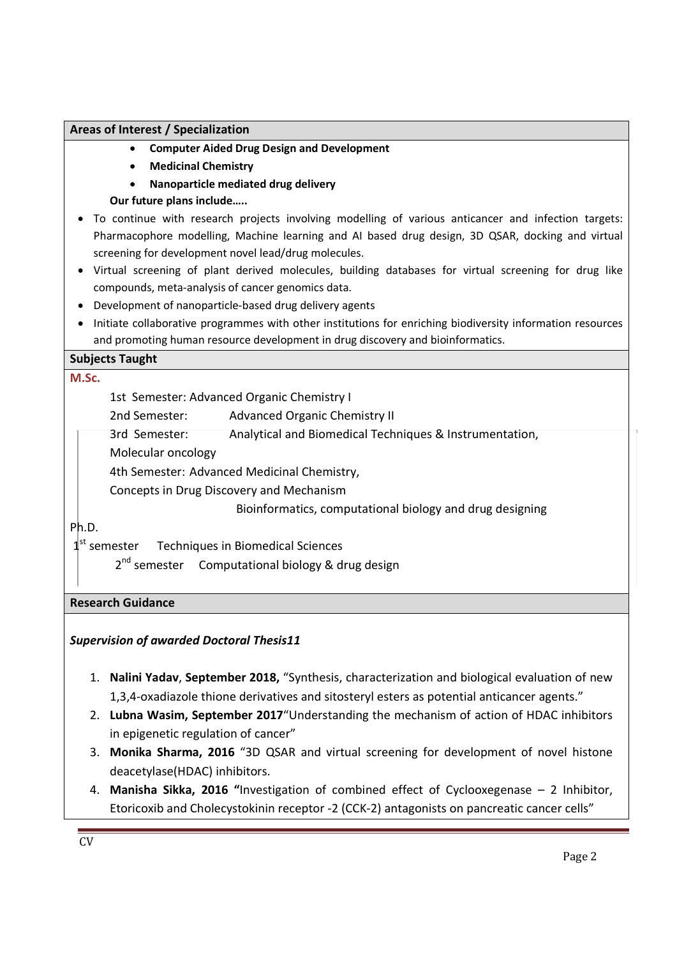#### **Areas of Interest / Specialization**

- **Computer Aided Drug Design and Development**
- **Medicinal Chemistry**
- **Nanoparticle mediated drug delivery**
- **Our future plans include…..**
- To continue with research projects involving modelling of various anticancer and infection targets: Pharmacophore modelling, Machine learning and AI based drug design, 3D QSAR, docking and virtual screening for development novel lead/drug molecules.
- Virtual screening of plant derived molecules, building databases for virtual screening for drug like compounds, meta-analysis of cancer genomics data.
- Development of nanoparticle-based drug delivery agents
- Initiate collaborative programmes with other institutions for enriching biodiversity information resources and promoting human resource development in drug discovery and bioinformatics.

#### **Subjects Taught**

#### **M.Sc.**

1st Semester: Advanced Organic Chemistry I

- 2nd Semester: Advanced Organic Chemistry II
- 3rd Semester: Analytical and Biomedical Techniques & Instrumentation,
- Molecular oncology

4th Semester: Advanced Medicinal Chemistry,

Concepts in Drug Discovery and Mechanism

Bioinformatics, computational biology and drug designing

#### Ph.D.

 $1<sup>st</sup>$  semester Techniques in Biomedical Sciences

2<sup>nd</sup> semester Computational biology & drug design

#### **Research Guidance**

*Supervision of awarded Doctoral Thesis11*

- 1. **Nalini Yadav**, **September 2018,** "Synthesis, characterization and biological evaluation of new 1,3,4-oxadiazole thione derivatives and sitosteryl esters as potential anticancer agents."
- 2. **Lubna Wasim, September 2017**"Understanding the mechanism of action of HDAC inhibitors in epigenetic regulation of cancer"
- 3. **Monika Sharma, 2016** "3D QSAR and virtual screening for development of novel histone deacetylase(HDAC) inhibitors.
- 4. **Manisha Sikka, 2016 "**Investigation of combined effect of Cyclooxegenase 2 Inhibitor, Etoricoxib and Cholecystokinin receptor -2 (CCK-2) antagonists on pancreatic cancer cells"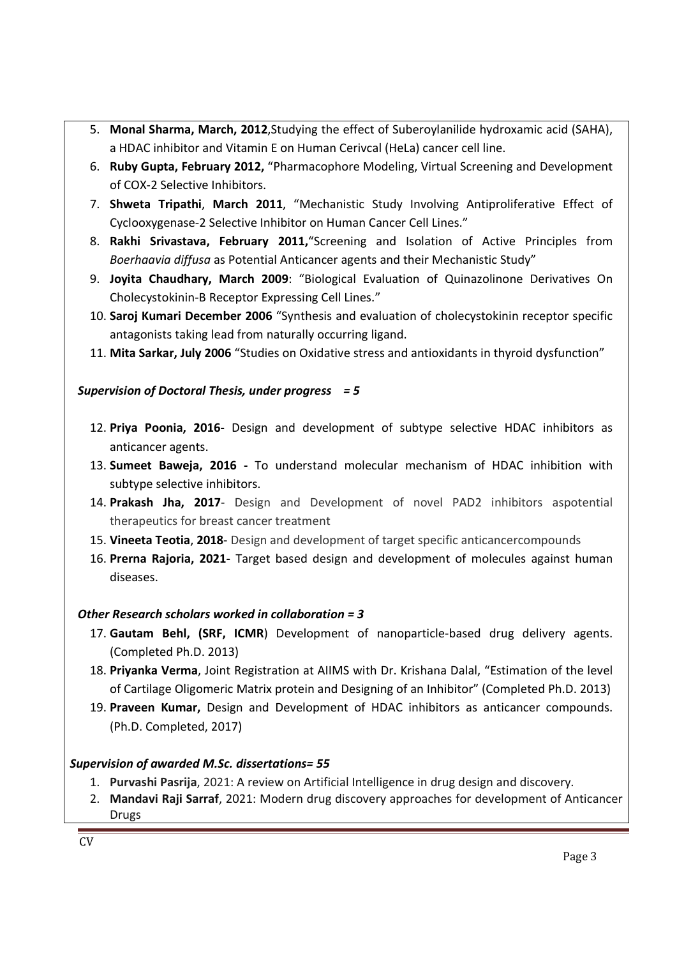- 5. **Monal Sharma, March, 2012**,Studying the effect of Suberoylanilide hydroxamic acid (SAHA), a HDAC inhibitor and Vitamin E on Human Cerivcal (HeLa) cancer cell line.
- 6. **Ruby Gupta, February 2012,** "Pharmacophore Modeling, Virtual Screening and Development of COX-2 Selective Inhibitors.
- 7. **Shweta Tripathi**, **March 2011**, "Mechanistic Study Involving Antiproliferative Effect of Cyclooxygenase-2 Selective Inhibitor on Human Cancer Cell Lines."
- 8. **Rakhi Srivastava, February 2011,**"Screening and Isolation of Active Principles from *Boerhaavia diffusa* as Potential Anticancer agents and their Mechanistic Study"
- 9. **Joyita Chaudhary, March 2009**: "Biological Evaluation of Quinazolinone Derivatives On Cholecystokinin-B Receptor Expressing Cell Lines."
- 10. **Saroj Kumari December 2006** "Synthesis and evaluation of cholecystokinin receptor specific antagonists taking lead from naturally occurring ligand.
- 11. **Mita Sarkar, July 2006** "Studies on Oxidative stress and antioxidants in thyroid dysfunction"

## *Supervision of Doctoral Thesis, under progress = 5*

- 12. **Priya Poonia, 2016-** Design and development of subtype selective HDAC inhibitors as anticancer agents.
- 13. **Sumeet Baweja, 2016 -** To understand molecular mechanism of HDAC inhibition with subtype selective inhibitors.
- 14. **Prakash Jha, 2017** Design and Development of novel PAD2 inhibitors aspotential therapeutics for breast cancer treatment
- 15. **Vineeta Teotia**, **2018** Design and development of target specific anticancercompounds
- 16. **Prerna Rajoria, 2021-** Target based design and development of molecules against human diseases.

## *Other Research scholars worked in collaboration = 3*

- 17. **Gautam Behl, (SRF, ICMR**) Development of nanoparticle-based drug delivery agents. (Completed Ph.D. 2013)
- 18. **Priyanka Verma**, Joint Registration at AIIMS with Dr. Krishana Dalal, "Estimation of the level of Cartilage Oligomeric Matrix protein and Designing of an Inhibitor" (Completed Ph.D. 2013)
- 19. **Praveen Kumar,** Design and Development of HDAC inhibitors as anticancer compounds. (Ph.D. Completed, 2017)

## *Supervision of awarded M.Sc. dissertations= 55*

- 1. **Purvashi Pasrija**, 2021: A review on Artificial Intelligence in drug design and discovery.
- 2. **Mandavi Raji Sarraf**, 2021: Modern drug discovery approaches for development of Anticancer Drugs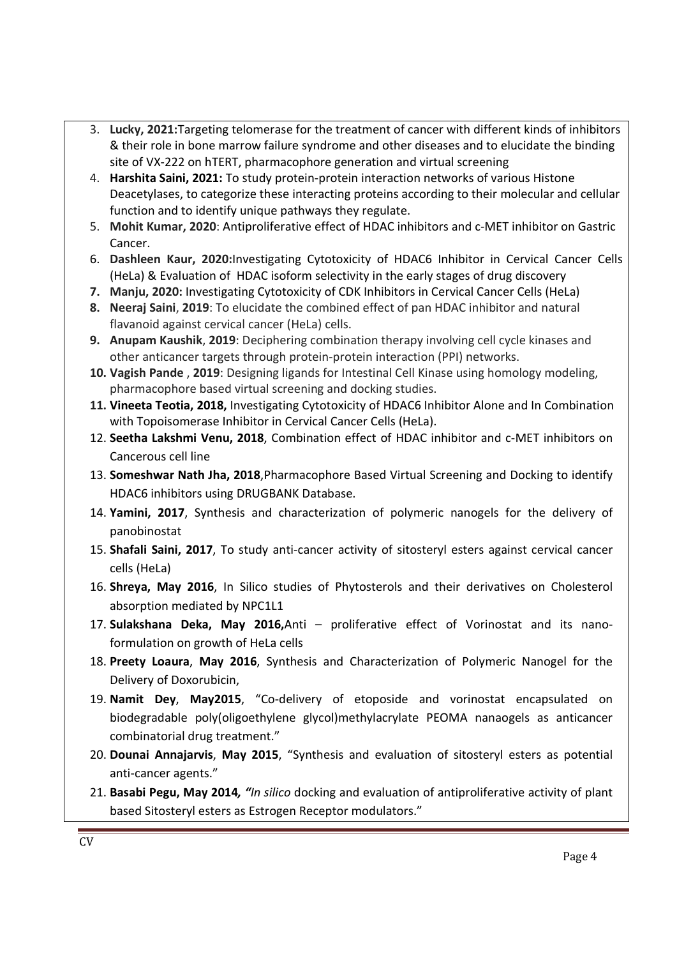- 3. **Lucky, 2021:**Targeting telomerase for the treatment of cancer with different kinds of inhibitors & their role in bone marrow failure syndrome and other diseases and to elucidate the binding site of VX-222 on hTERT, pharmacophore generation and virtual screening
- 4. **Harshita Saini, 2021:** To study protein-protein interaction networks of various Histone Deacetylases, to categorize these interacting proteins according to their molecular and cellular function and to identify unique pathways they regulate.
- 5. **Mohit Kumar, 2020**: Antiproliferative effect of HDAC inhibitors and c-MET inhibitor on Gastric Cancer.
- 6. **Dashleen Kaur, 2020:**Investigating Cytotoxicity of HDAC6 Inhibitor in Cervical Cancer Cells (HeLa) & Evaluation of HDAC isoform selectivity in the early stages of drug discovery
- **7. Manju, 2020:** Investigating Cytotoxicity of CDK Inhibitors in Cervical Cancer Cells (HeLa)
- **8. Neeraj Saini**, **2019**: To elucidate the combined effect of pan HDAC inhibitor and natural flavanoid against cervical cancer (HeLa) cells.
- **9. Anupam Kaushik**, **2019**: Deciphering combination therapy involving cell cycle kinases and other anticancer targets through protein-protein interaction (PPI) networks.
- **10. Vagish Pande** , **2019**: Designing ligands for Intestinal Cell Kinase using homology modeling, pharmacophore based virtual screening and docking studies.
- **11. Vineeta Teotia, 2018,** Investigating Cytotoxicity of HDAC6 Inhibitor Alone and In Combination with Topoisomerase Inhibitor in Cervical Cancer Cells (HeLa).
- 12. **Seetha Lakshmi Venu, 2018**, Combination effect of HDAC inhibitor and c-MET inhibitors on Cancerous cell line
- 13. **Someshwar Nath Jha, 2018**,Pharmacophore Based Virtual Screening and Docking to identify HDAC6 inhibitors using DRUGBANK Database.
- 14. **Yamini, 2017**, Synthesis and characterization of polymeric nanogels for the delivery of panobinostat
- 15. **Shafali Saini, 2017**, To study anti-cancer activity of sitosteryl esters against cervical cancer cells (HeLa)
- 16. **Shreya, May 2016**, In Silico studies of Phytosterols and their derivatives on Cholesterol absorption mediated by NPC1L1
- 17. **Sulakshana Deka, May 2016,**Anti proliferative effect of Vorinostat and its nanoformulation on growth of HeLa cells
- 18. **Preety Loaura**, **May 2016**, Synthesis and Characterization of Polymeric Nanogel for the Delivery of Doxorubicin,
- 19. **Namit Dey**, **May2015**, "Co-delivery of etoposide and vorinostat encapsulated on biodegradable poly(oligoethylene glycol)methylacrylate PEOMA nanaogels as anticancer combinatorial drug treatment."
- 20. **Dounai Annajarvis**, **May 2015**, "Synthesis and evaluation of sitosteryl esters as potential anti-cancer agents."
- 21. **Basabi Pegu, May 2014***, "In silico* docking and evaluation of antiproliferative activity of plant based Sitosteryl esters as Estrogen Receptor modulators."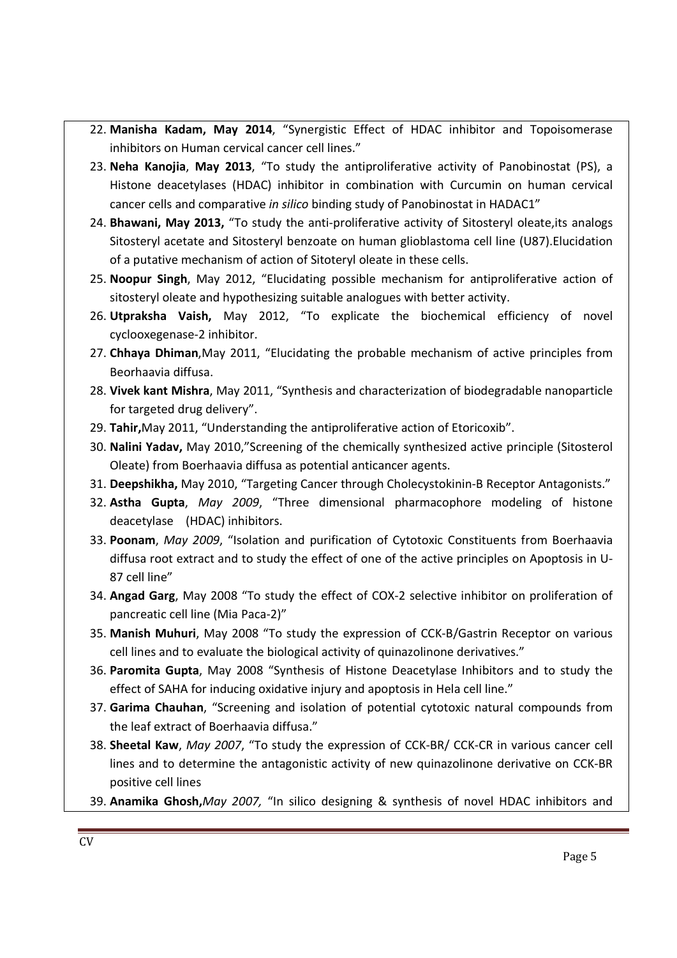- 22. **Manisha Kadam, May 2014**, "Synergistic Effect of HDAC inhibitor and Topoisomerase inhibitors on Human cervical cancer cell lines."
- 23. **Neha Kanojia**, **May 2013**, "To study the antiproliferative activity of Panobinostat (PS), a Histone deacetylases (HDAC) inhibitor in combination with Curcumin on human cervical cancer cells and comparative *in silico* binding study of Panobinostat in HADAC1"
- 24. **Bhawani, May 2013,** "To study the anti-proliferative activity of Sitosteryl oleate,its analogs Sitosteryl acetate and Sitosteryl benzoate on human glioblastoma cell line (U87).Elucidation of a putative mechanism of action of Sitoteryl oleate in these cells.
- 25. **Noopur Singh**, May 2012, "Elucidating possible mechanism for antiproliferative action of sitosteryl oleate and hypothesizing suitable analogues with better activity.
- 26. **Utpraksha Vaish,** May 2012, "To explicate the biochemical efficiency of novel cyclooxegenase-2 inhibitor.
- 27. **Chhaya Dhiman**,May 2011, "Elucidating the probable mechanism of active principles from Beorhaavia diffusa.
- 28. **Vivek kant Mishra**, May 2011, "Synthesis and characterization of biodegradable nanoparticle for targeted drug delivery".
- 29. **Tahir,**May 2011, "Understanding the antiproliferative action of Etoricoxib".
- 30. **Nalini Yadav,** May 2010,"Screening of the chemically synthesized active principle (Sitosterol Oleate) from Boerhaavia diffusa as potential anticancer agents.
- 31. **Deepshikha,** May 2010, "Targeting Cancer through Cholecystokinin-B Receptor Antagonists."
- 32. **Astha Gupta**, *May 2009*, "Three dimensional pharmacophore modeling of histone deacetylase (HDAC) inhibitors.
- 33. **Poonam**, *May 2009*, "Isolation and purification of Cytotoxic Constituents from Boerhaavia diffusa root extract and to study the effect of one of the active principles on Apoptosis in U-87 cell line"
- 34. **Angad Garg**, May 2008 "To study the effect of COX-2 selective inhibitor on proliferation of pancreatic cell line (Mia Paca-2)"
- 35. **Manish Muhuri**, May 2008 "To study the expression of CCK-B/Gastrin Receptor on various cell lines and to evaluate the biological activity of quinazolinone derivatives."
- 36. **Paromita Gupta**, May 2008 "Synthesis of Histone Deacetylase Inhibitors and to study the effect of SAHA for inducing oxidative injury and apoptosis in Hela cell line."
- 37. **Garima Chauhan**, "Screening and isolation of potential cytotoxic natural compounds from the leaf extract of Boerhaavia diffusa."
- 38. **Sheetal Kaw**, *May 2007*, "To study the expression of CCK-BR/ CCK-CR in various cancer cell lines and to determine the antagonistic activity of new quinazolinone derivative on CCK-BR positive cell lines
- 39. **Anamika Ghosh,***May 2007,* "In silico designing & synthesis of novel HDAC inhibitors and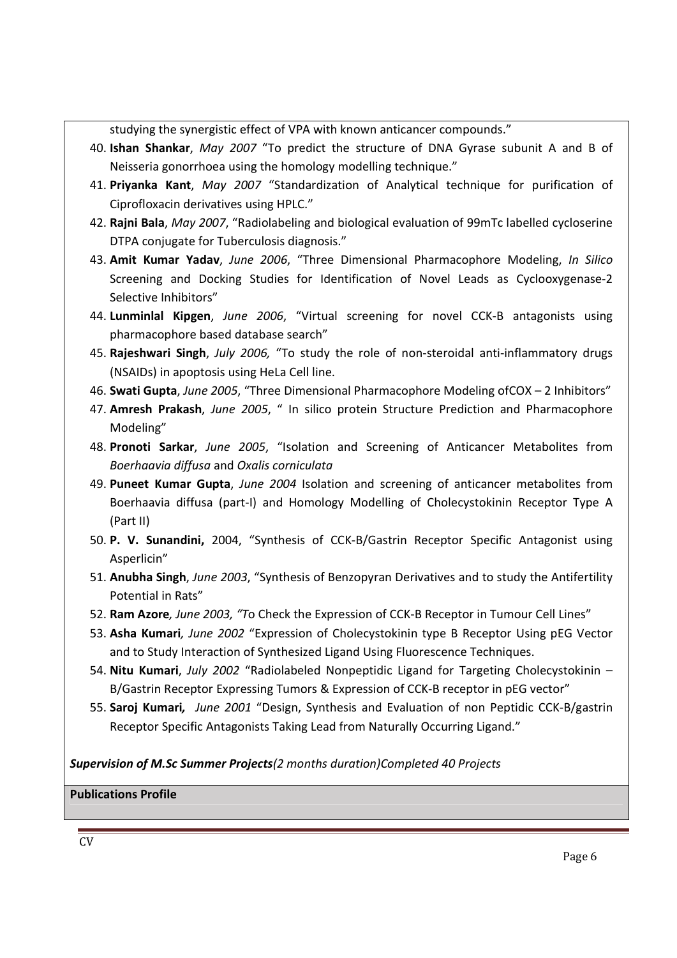studying the synergistic effect of VPA with known anticancer compounds."

- 40. **Ishan Shankar**, *May 2007* "To predict the structure of DNA Gyrase subunit A and B of Neisseria gonorrhoea using the homology modelling technique."
- 41. **Priyanka Kant**, *May 2007* "Standardization of Analytical technique for purification of Ciprofloxacin derivatives using HPLC."
- 42. **Rajni Bala**, *May 2007*, "Radiolabeling and biological evaluation of 99mTc labelled cycloserine DTPA conjugate for Tuberculosis diagnosis."
- 43. **Amit Kumar Yadav**, *June 2006*, "Three Dimensional Pharmacophore Modeling, *In Silico* Screening and Docking Studies for Identification of Novel Leads as Cyclooxygenase-2 Selective Inhibitors"
- 44. **Lunminlal Kipgen**, *June 2006*, "Virtual screening for novel CCK-B antagonists using pharmacophore based database search"
- 45. **Rajeshwari Singh**, *July 2006,* "To study the role of non-steroidal anti-inflammatory drugs (NSAIDs) in apoptosis using HeLa Cell line.
- 46. **Swati Gupta**, *June 2005*, "Three Dimensional Pharmacophore Modeling ofCOX 2 Inhibitors"
- 47. **Amresh Prakash**, *June 2005*, " In silico protein Structure Prediction and Pharmacophore Modeling"
- 48. **Pronoti Sarkar**, *June 2005*, "Isolation and Screening of Anticancer Metabolites from *Boerhaavia diffusa* and *Oxalis corniculata*
- 49. **Puneet Kumar Gupta**, *June 2004* Isolation and screening of anticancer metabolites from Boerhaavia diffusa (part-I) and Homology Modelling of Cholecystokinin Receptor Type A (Part II)
- 50. **P. V. Sunandini,** 2004, "Synthesis of CCK-B/Gastrin Receptor Specific Antagonist using Asperlicin"
- 51. **Anubha Singh**, *June 2003*, "Synthesis of Benzopyran Derivatives and to study the Antifertility Potential in Rats"
- 52. **Ram Azore***, June 2003, "T*o Check the Expression of CCK-B Receptor in Tumour Cell Lines"
- 53. **Asha Kumari***, June 2002* "Expression of Cholecystokinin type B Receptor Using pEG Vector and to Study Interaction of Synthesized Ligand Using Fluorescence Techniques.
- 54. **Nitu Kumari**, *July 2002* "Radiolabeled Nonpeptidic Ligand for Targeting Cholecystokinin B/Gastrin Receptor Expressing Tumors & Expression of CCK-B receptor in pEG vector"
- 55. **Saroj Kumari***, June 2001* "Design, Synthesis and Evaluation of non Peptidic CCK-B/gastrin Receptor Specific Antagonists Taking Lead from Naturally Occurring Ligand."

*Supervision of M.Sc Summer Projects(2 months duration)Completed 40 Projects*

## **Publications Profile**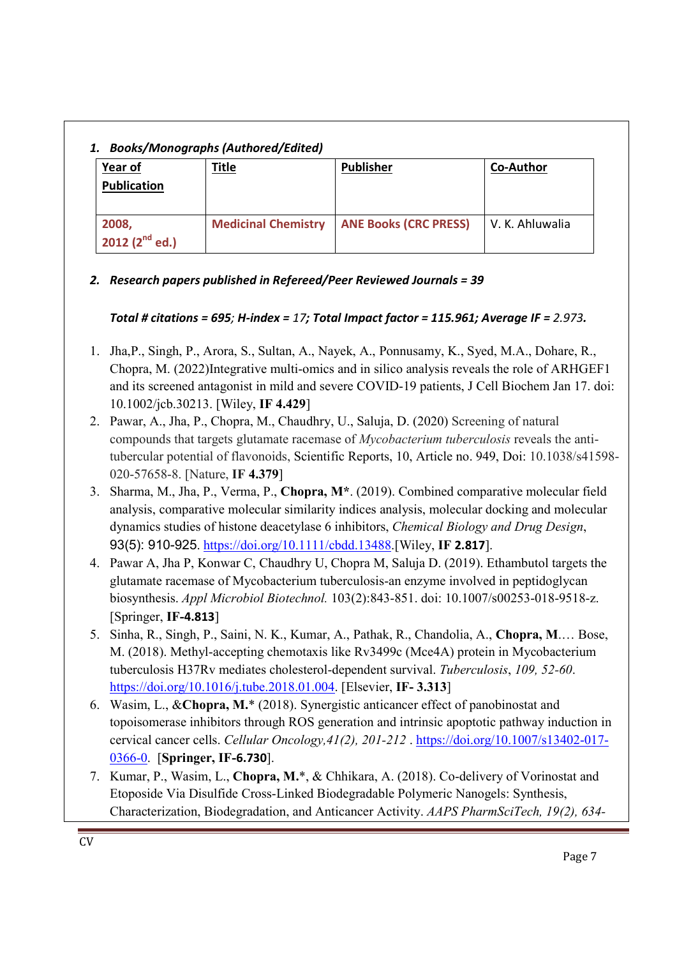# *1. Books/Monographs (Authored/Edited)*

| 2. boons, monographs (Authorca, Eurcea) |                            |                              |                  |  |  |  |
|-----------------------------------------|----------------------------|------------------------------|------------------|--|--|--|
| Year of                                 | <b>Title</b>               | <b>Publisher</b>             | <b>Co-Author</b> |  |  |  |
| <b>Publication</b>                      |                            |                              |                  |  |  |  |
| 2008,                                   | <b>Medicinal Chemistry</b> | <b>ANE Books (CRC PRESS)</b> | V. K. Ahluwalia  |  |  |  |
| 2012 $(2^{nd}$ ed.)                     |                            |                              |                  |  |  |  |

## *2. Research papers published in Refereed/Peer Reviewed Journals = 39*

## *Total # citations = 695; H-index = 17; Total Impact factor = 115.961; Average IF = 2.973.*

- 1. Jha,P., Singh, P., Arora, S., Sultan, A., Nayek, A., Ponnusamy, K., Syed, M.A., Dohare, R., Chopra, M. (2022)Integrative multi-omics and in silico analysis reveals the role of ARHGEF1 and its screened antagonist in mild and severe COVID-19 patients, J Cell Biochem Jan 17. doi: 10.1002/jcb.30213. [Wiley, **IF 4.429**]
- 2. Pawar, A., Jha, P., Chopra, M., Chaudhry, U., Saluja, D. (2020) Screening of natural compounds that targets glutamate racemase of *Mycobacterium tuberculosis* reveals the antitubercular potential of flavonoids, Scientific Reports, 10, Article no. 949, Doi: 10.1038/s41598- 020-57658-8. [Nature, **IF 4.379**]
- 3. Sharma, M., Jha, P., Verma, P., **Chopra, M\***. (2019). Combined comparative molecular field analysis, comparative molecular similarity indices analysis, molecular docking and molecular dynamics studies of histone deacetylase 6 inhibitors, *Chemical Biology and Drug Design*, 93(5): 910-925. https://doi.org/10.1111/cbdd.13488.[Wiley, **IF 2.817**].
- 4. Pawar A, Jha P, Konwar C, Chaudhry U, Chopra M, Saluja D. (2019). Ethambutol targets the glutamate racemase of Mycobacterium tuberculosis-an enzyme involved in peptidoglycan biosynthesis. *Appl Microbiol Biotechnol.* 103(2):843-851. doi: 10.1007/s00253-018-9518-z. [Springer, **IF-4.813**]
- 5. Sinha, R., Singh, P., Saini, N. K., Kumar, A., Pathak, R., Chandolia, A., **Chopra, M**.… Bose, M. (2018). Methyl-accepting chemotaxis like Rv3499c (Mce4A) protein in Mycobacterium tuberculosis H37Rv mediates cholesterol-dependent survival. *Tuberculosis*, *109, 52-60*. https://doi.org/10.1016/j.tube.2018.01.004. [Elsevier, **IF- 3.313**]
- 6. Wasim, L., &**Chopra, M.**\* (2018). Synergistic anticancer effect of panobinostat and topoisomerase inhibitors through ROS generation and intrinsic apoptotic pathway induction in cervical cancer cells. *Cellular Oncology,41(2), 201-212* . https://doi.org/10.1007/s13402-017- 0366-0. [**Springer, IF-6.730**].
- 7. Kumar, P., Wasim, L., **Chopra, M.**\*, & Chhikara, A. (2018). Co-delivery of Vorinostat and Etoposide Via Disulfide Cross-Linked Biodegradable Polymeric Nanogels: Synthesis, Characterization, Biodegradation, and Anticancer Activity. *AAPS PharmSciTech, 19(2), 634-*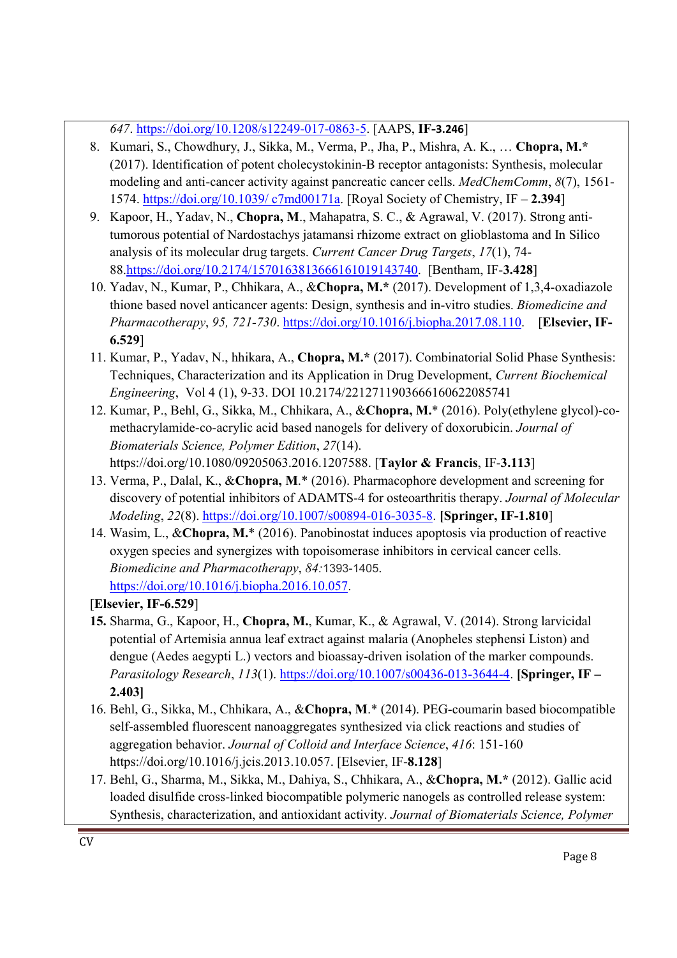*647*. https://doi.org/10.1208/s12249-017-0863-5. [AAPS, **IF-3.246**]

- 8. Kumari, S., Chowdhury, J., Sikka, M., Verma, P., Jha, P., Mishra, A. K., … **Chopra, M.\*** (2017). Identification of potent cholecystokinin-B receptor antagonists: Synthesis, molecular modeling and anti-cancer activity against pancreatic cancer cells. *MedChemComm*, *8*(7), 1561- 1574. https://doi.org/10.1039/ c7md00171a. [Royal Society of Chemistry, IF – **2.394**]
- 9. Kapoor, H., Yadav, N., **Chopra, M**., Mahapatra, S. C., & Agrawal, V. (2017). Strong antitumorous potential of Nardostachys jatamansi rhizome extract on glioblastoma and In Silico analysis of its molecular drug targets. *Current Cancer Drug Targets*, *17*(1), 74- 88.https://doi.org/10.2174/1570163813666161019143740. [Bentham, IF-**3.428**]
- 10. Yadav, N., Kumar, P., Chhikara, A., &**Chopra, M.\*** (2017). Development of 1,3,4-oxadiazole thione based novel anticancer agents: Design, synthesis and in-vitro studies. *Biomedicine and Pharmacotherapy*, *95, 721-730*. https://doi.org/10.1016/j.biopha.2017.08.110. [**Elsevier, IF-6.529**]
- 11. Kumar, P., Yadav, N., hhikara, A., **Chopra, M.\*** (2017). Combinatorial Solid Phase Synthesis: Techniques, Characterization and its Application in Drug Development, *Current Biochemical Engineering*, Vol 4 (1), 9-33. DOI 10.2174/2212711903666160622085741
- 12. Kumar, P., Behl, G., Sikka, M., Chhikara, A., &**Chopra, M.**\* (2016). Poly(ethylene glycol)-comethacrylamide-co-acrylic acid based nanogels for delivery of doxorubicin. *Journal of Biomaterials Science, Polymer Edition*, *27*(14). https://doi.org/10.1080/09205063.2016.1207588. [**Taylor & Francis**, IF-**3.113**]
- 13. Verma, P., Dalal, K., &**Chopra, M**.\* (2016). Pharmacophore development and screening for discovery of potential inhibitors of ADAMTS-4 for osteoarthritis therapy. *Journal of Molecular Modeling*, *22*(8). https://doi.org/10.1007/s00894-016-3035-8. **[Springer, IF-1.810**]
- 14. Wasim, L., &**Chopra, M.**\* (2016). Panobinostat induces apoptosis via production of reactive oxygen species and synergizes with topoisomerase inhibitors in cervical cancer cells. *Biomedicine and Pharmacotherapy*, *84:*1393-1405. https://doi.org/10.1016/j.biopha.2016.10.057.

[**Elsevier, IF-6.529**]

- **15.** Sharma, G., Kapoor, H., **Chopra, M.**, Kumar, K., & Agrawal, V. (2014). Strong larvicidal potential of Artemisia annua leaf extract against malaria (Anopheles stephensi Liston) and dengue (Aedes aegypti L.) vectors and bioassay-driven isolation of the marker compounds. *Parasitology Research*, *113*(1). https://doi.org/10.1007/s00436-013-3644-4. **[Springer, IF – 2.403]**
- 16. Behl, G., Sikka, M., Chhikara, A., &**Chopra, M**.\* (2014). PEG-coumarin based biocompatible self-assembled fluorescent nanoaggregates synthesized via click reactions and studies of aggregation behavior. *Journal of Colloid and Interface Science*, *416*: 151-160 https://doi.org/10.1016/j.jcis.2013.10.057. [Elsevier, IF-**8.128**]
- 17. Behl, G., Sharma, M., Sikka, M., Dahiya, S., Chhikara, A., &**Chopra, M.\*** (2012). Gallic acid loaded disulfide cross-linked biocompatible polymeric nanogels as controlled release system: Synthesis, characterization, and antioxidant activity. *Journal of Biomaterials Science, Polymer*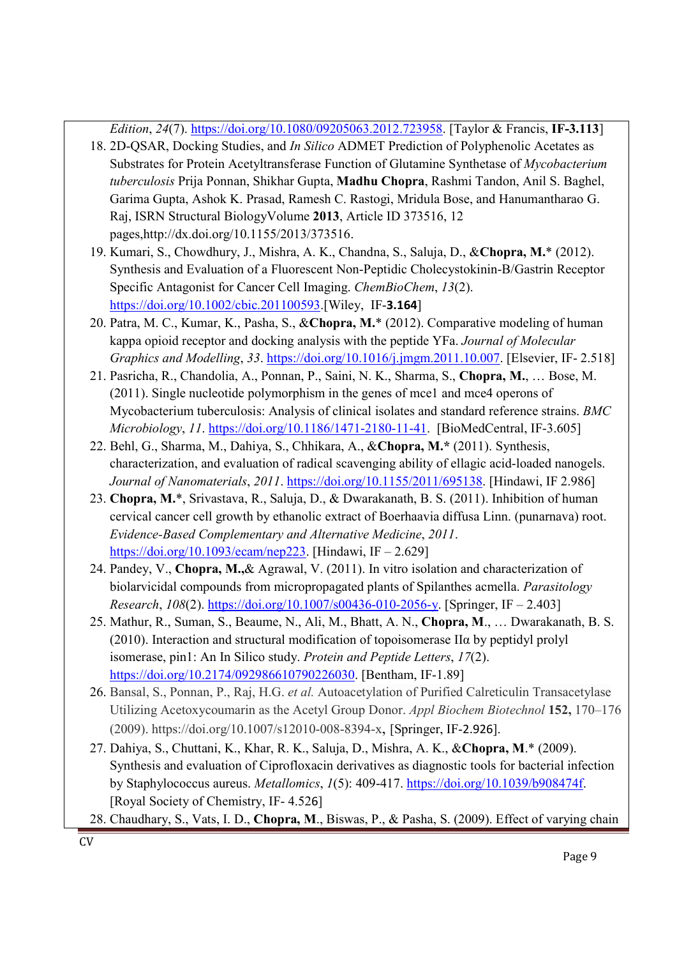*Edition*, *24*(7). https://doi.org/10.1080/09205063.2012.723958. [Taylor & Francis, **IF-3.113**]

- 18. 2D-QSAR, Docking Studies, and *In Silico* ADMET Prediction of Polyphenolic Acetates as Substrates for Protein Acetyltransferase Function of Glutamine Synthetase of *Mycobacterium tuberculosis* Prija Ponnan, Shikhar Gupta, **Madhu Chopra**, Rashmi Tandon, Anil S. Baghel, Garima Gupta, Ashok K. Prasad, Ramesh C. Rastogi, Mridula Bose, and Hanumantharao G. Raj, ISRN Structural BiologyVolume **2013**, Article ID 373516, 12 pages,http://dx.doi.org/10.1155/2013/373516.
- 19. Kumari, S., Chowdhury, J., Mishra, A. K., Chandna, S., Saluja, D., &**Chopra, M.**\* (2012). Synthesis and Evaluation of a Fluorescent Non-Peptidic Cholecystokinin-B/Gastrin Receptor Specific Antagonist for Cancer Cell Imaging. *ChemBioChem*, *13*(2). https://doi.org/10.1002/cbic.201100593.[Wiley, IF-**3.164**]
- 20. Patra, M. C., Kumar, K., Pasha, S., &**Chopra, M.**\* (2012). Comparative modeling of human kappa opioid receptor and docking analysis with the peptide YFa. *Journal of Molecular Graphics and Modelling*, *33*. https://doi.org/10.1016/j.jmgm.2011.10.007. [Elsevier, IF- 2.518]
- 21. Pasricha, R., Chandolia, A., Ponnan, P., Saini, N. K., Sharma, S., **Chopra, M.**, … Bose, M. (2011). Single nucleotide polymorphism in the genes of mce1 and mce4 operons of Mycobacterium tuberculosis: Analysis of clinical isolates and standard reference strains. *BMC Microbiology*, *11*. https://doi.org/10.1186/1471-2180-11-41. [BioMedCentral, IF-3.605]
- 22. Behl, G., Sharma, M., Dahiya, S., Chhikara, A., &**Chopra, M.\*** (2011). Synthesis, characterization, and evaluation of radical scavenging ability of ellagic acid-loaded nanogels. *Journal of Nanomaterials*, *2011*. https://doi.org/10.1155/2011/695138. [Hindawi, IF 2.986]
- 23. **Chopra, M.**\*, Srivastava, R., Saluja, D., & Dwarakanath, B. S. (2011). Inhibition of human cervical cancer cell growth by ethanolic extract of Boerhaavia diffusa Linn. (punarnava) root. *Evidence-Based Complementary and Alternative Medicine*, *2011*. https://doi.org/10.1093/ecam/nep223. [Hindawi, IF – 2.629]
- 24. Pandey, V., **Chopra, M.,**& Agrawal, V. (2011). In vitro isolation and characterization of biolarvicidal compounds from micropropagated plants of Spilanthes acmella. *Parasitology Research*, *108*(2). https://doi.org/10.1007/s00436-010-2056-y. [Springer, IF – 2.403]
- 25. Mathur, R., Suman, S., Beaume, N., Ali, M., Bhatt, A. N., **Chopra, M**., … Dwarakanath, B. S. (2010). Interaction and structural modification of topoisomerase IIα by peptidyl prolyl isomerase, pin1: An In Silico study. *Protein and Peptide Letters*, *17*(2). https://doi.org/10.2174/092986610790226030. [Bentham, IF-1.89]
- 26. Bansal, S., Ponnan, P., Raj, H.G. *et al.* Autoacetylation of Purified Calreticulin Transacetylase Utilizing Acetoxycoumarin as the Acetyl Group Donor. *Appl Biochem Biotechnol* **152,** 170–176 (2009). https://doi.org/10.1007/s12010-008-8394-x, [Springer, IF-2.926].
- 27. Dahiya, S., Chuttani, K., Khar, R. K., Saluja, D., Mishra, A. K., &**Chopra, M**.\* (2009). Synthesis and evaluation of Ciprofloxacin derivatives as diagnostic tools for bacterial infection by Staphylococcus aureus. *Metallomics*, *1*(5): 409-417. https://doi.org/10.1039/b908474f. [Royal Society of Chemistry, IF- 4.526]
- 28. Chaudhary, S., Vats, I. D., **Chopra, M**., Biswas, P., & Pasha, S. (2009). Effect of varying chain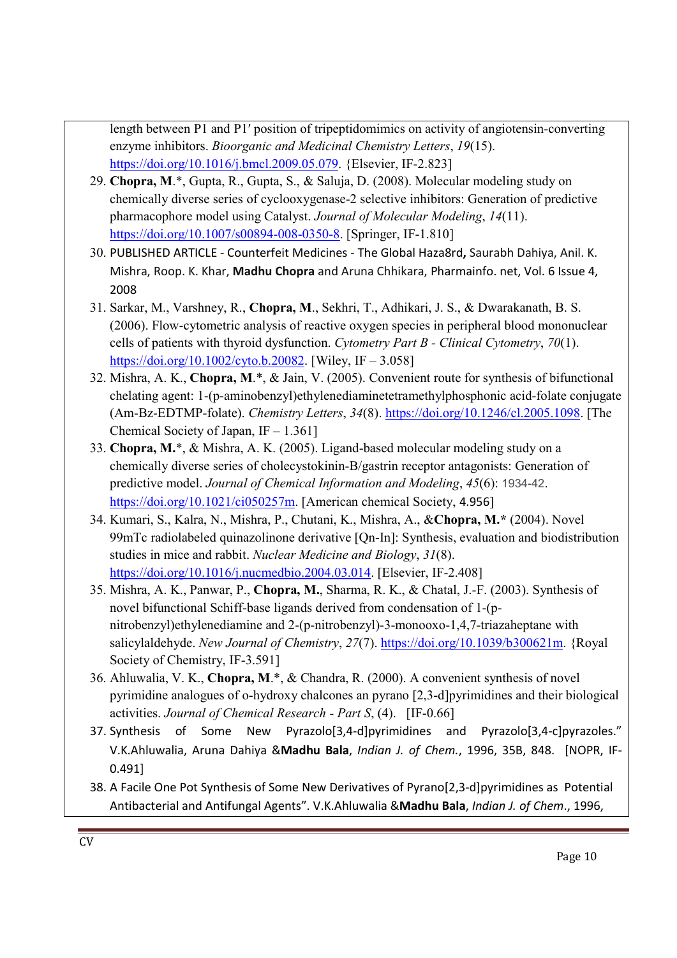length between P1 and P1′ position of tripeptidomimics on activity of angiotensin-converting enzyme inhibitors. *Bioorganic and Medicinal Chemistry Letters*, *19*(15). https://doi.org/10.1016/j.bmcl.2009.05.079. {Elsevier, IF-2.823]

- 29. **Chopra, M**.\*, Gupta, R., Gupta, S., & Saluja, D. (2008). Molecular modeling study on chemically diverse series of cyclooxygenase-2 selective inhibitors: Generation of predictive pharmacophore model using Catalyst. *Journal of Molecular Modeling*, *14*(11). https://doi.org/10.1007/s00894-008-0350-8. [Springer, IF-1.810]
- 30. PUBLISHED ARTICLE Counterfeit Medicines The Global Haza8rd**,** Saurabh Dahiya, Anil. K. Mishra, Roop. K. Khar, **Madhu Chopra** and Aruna Chhikara, Pharmainfo. net, Vol. 6 Issue 4, 2008
- 31. Sarkar, M., Varshney, R., **Chopra, M**., Sekhri, T., Adhikari, J. S., & Dwarakanath, B. S. (2006). Flow-cytometric analysis of reactive oxygen species in peripheral blood mononuclear cells of patients with thyroid dysfunction. *Cytometry Part B - Clinical Cytometry*, *70*(1). https://doi.org/10.1002/cyto.b.20082. [Wiley, IF – 3.058]
- 32. Mishra, A. K., **Chopra, M**.\*, & Jain, V. (2005). Convenient route for synthesis of bifunctional chelating agent: 1-(p-aminobenzyl)ethylenediaminetetramethylphosphonic acid-folate conjugate (Am-Bz-EDTMP-folate). *Chemistry Letters*, *34*(8). https://doi.org/10.1246/cl.2005.1098. [The Chemical Society of Japan,  $IF - 1.361$ ]
- 33. **Chopra, M.**\*, & Mishra, A. K. (2005). Ligand-based molecular modeling study on a chemically diverse series of cholecystokinin-B/gastrin receptor antagonists: Generation of predictive model. *Journal of Chemical Information and Modeling*, *45*(6): 1934-42. https://doi.org/10.1021/ci050257m. [American chemical Society, 4.956]
- 34. Kumari, S., Kalra, N., Mishra, P., Chutani, K., Mishra, A., &**Chopra, M.\*** (2004). Novel 99mTc radiolabeled quinazolinone derivative [Qn-In]: Synthesis, evaluation and biodistribution studies in mice and rabbit. *Nuclear Medicine and Biology*, *31*(8). https://doi.org/10.1016/j.nucmedbio.2004.03.014. [Elsevier, IF-2.408]
- 35. Mishra, A. K., Panwar, P., **Chopra, M.**, Sharma, R. K., & Chatal, J.-F. (2003). Synthesis of novel bifunctional Schiff-base ligands derived from condensation of 1-(pnitrobenzyl)ethylenediamine and 2-(p-nitrobenzyl)-3-monooxo-1,4,7-triazaheptane with salicylaldehyde. *New Journal of Chemistry*, *27*(7). https://doi.org/10.1039/b300621m. {Royal Society of Chemistry, IF-3.591]
- 36. Ahluwalia, V. K., **Chopra, M**.\*, & Chandra, R. (2000). A convenient synthesis of novel pyrimidine analogues of o-hydroxy chalcones an pyrano [2,3-d]pyrimidines and their biological activities. *Journal of Chemical Research - Part S*, (4). [IF-0.66]
- 37. Synthesis of Some New Pyrazolo[3,4-d]pyrimidines and Pyrazolo[3,4-c]pyrazoles." V.K.Ahluwalia, Aruna Dahiya &**Madhu Bala**, *Indian J. of Chem.*, 1996, 35B, 848. [NOPR, IF-0.491]
- 38. A Facile One Pot Synthesis of Some New Derivatives of Pyrano[2,3-d]pyrimidines as Potential Antibacterial and Antifungal Agents". V.K.Ahluwalia &**Madhu Bala**, *Indian J. of Chem*., 1996,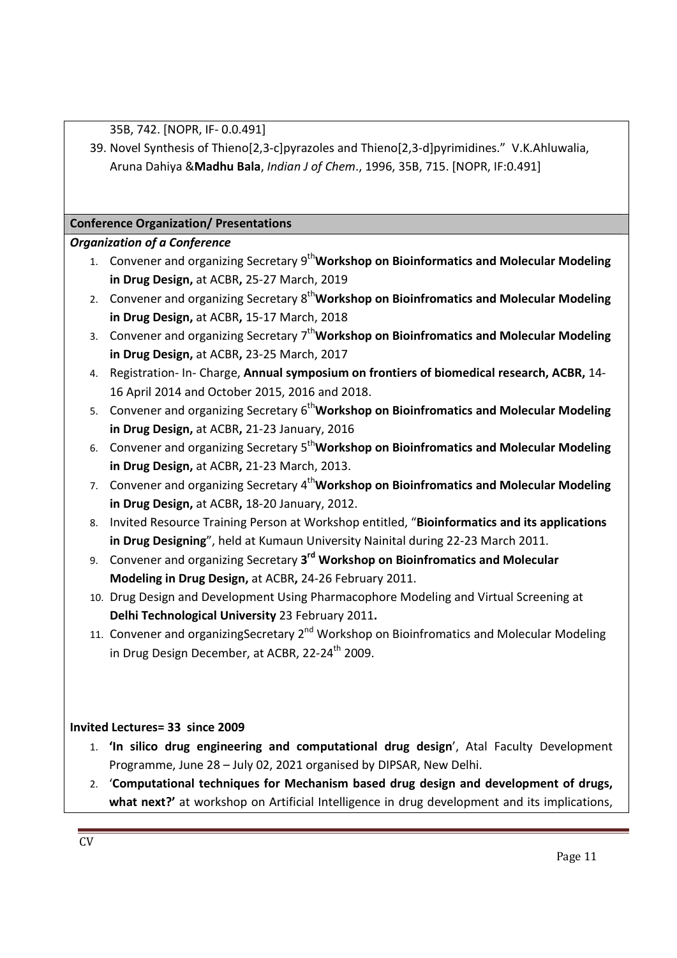35B, 742. [NOPR, IF- 0.0.491]

39. Novel Synthesis of Thieno[2,3-c]pyrazoles and Thieno[2,3-d]pyrimidines." V.K.Ahluwalia, Aruna Dahiya &**Madhu Bala**, *Indian J of Chem*., 1996, 35B, 715. [NOPR, IF:0.491]

## **Conference Organization/ Presentations**

## *Organization of a Conference*

- 1. Convener and organizing Secretary 9<sup>th</sup>Workshop on Bioinformatics and Molecular Modeling **in Drug Design,** at ACBR**,** 25-27 March, 2019
- 2. Convener and organizing Secretary 8<sup>th</sup>Workshop on Bioinfromatics and Molecular Modeling **in Drug Design,** at ACBR**,** 15-17 March, 2018
- 3. Convener and organizing Secretary 7th**Workshop on Bioinfromatics and Molecular Modeling in Drug Design,** at ACBR**,** 23-25 March, 2017
- 4. Registration- In- Charge, **Annual symposium on frontiers of biomedical research, ACBR,** 14- 16 April 2014 and October 2015, 2016 and 2018.
- 5. Convener and organizing Secretary 6<sup>th</sup>Workshop on Bioinfromatics and Molecular Modeling **in Drug Design,** at ACBR**,** 21-23 January, 2016
- 6. Convener and organizing Secretary 5<sup>th</sup>Workshop on Bioinfromatics and Molecular Modeling **in Drug Design,** at ACBR**,** 21-23 March, 2013.
- 7. Convener and organizing Secretary 4<sup>th</sup> Workshop on Bioinfromatics and Molecular Modeling **in Drug Design,** at ACBR**,** 18-20 January, 2012.
- 8. Invited Resource Training Person at Workshop entitled, "**Bioinformatics and its applications in Drug Designing**", held at Kumaun University Nainital during 22-23 March 2011.
- 9. Convener and organizing Secretary **3rd Workshop on Bioinfromatics and Molecular Modeling in Drug Design,** at ACBR**,** 24-26 February 2011.
- 10. Drug Design and Development Using Pharmacophore Modeling and Virtual Screening at **Delhi Technological University** 23 February 2011**.**
- 11. Convener and organizingSecretary 2<sup>nd</sup> Workshop on Bioinfromatics and Molecular Modeling in Drug Design December, at ACBR, 22-24<sup>th</sup> 2009.

## **Invited Lectures= 33 since 2009**

- 1. **'In silico drug engineering and computational drug design**', Atal Faculty Development Programme, June 28 – July 02, 2021 organised by DIPSAR, New Delhi.
- 2. '**Computational techniques for Mechanism based drug design and development of drugs,**  what next?' at workshop on Artificial Intelligence in drug development and its implications,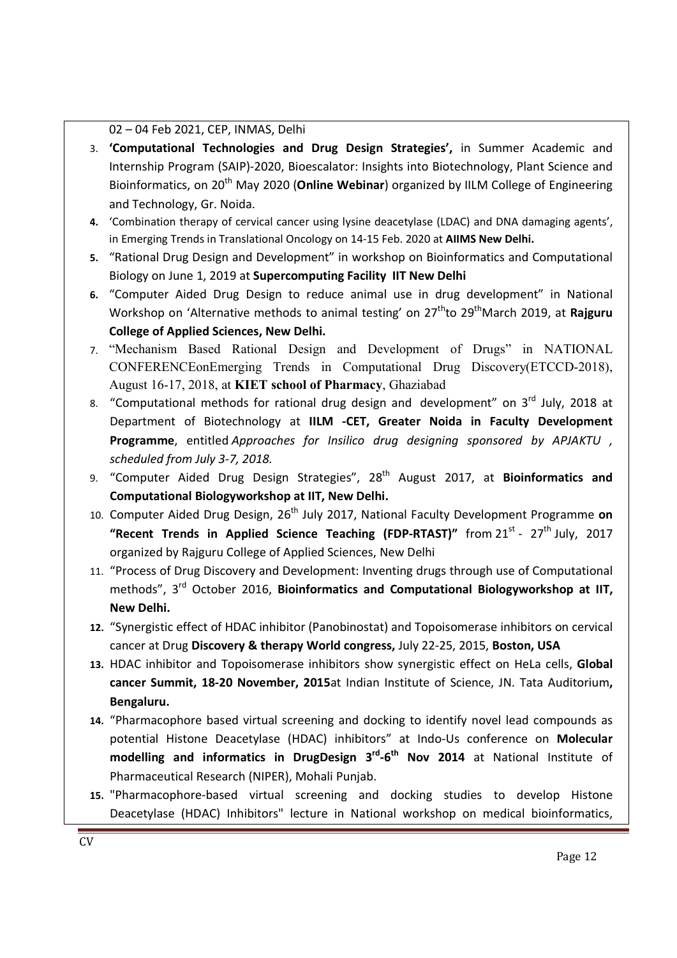#### 02 – 04 Feb 2021, CEP, INMAS, Delhi

- 3. **'Computational Technologies and Drug Design Strategies',** in Summer Academic and Internship Program (SAIP)-2020, Bioescalator: Insights into Biotechnology, Plant Science and Bioinformatics, on 20th May 2020 (**Online Webinar**) organized by IILM College of Engineering and Technology, Gr. Noida.
- **4.** 'Combination therapy of cervical cancer using lysine deacetylase (LDAC) and DNA damaging agents', in Emerging Trends in Translational Oncology on 14-15 Feb. 2020 at **AIIMS New Delhi.**
- **5.** "Rational Drug Design and Development" in workshop on Bioinformatics and Computational Biology on June 1, 2019 at **Supercomputing Facility IIT New Delhi**
- **6.** "Computer Aided Drug Design to reduce animal use in drug development" in National Workshop on 'Alternative methods to animal testing' on 27<sup>th</sup>to 29<sup>th</sup>March 2019, at **Rajguru College of Applied Sciences, New Delhi.**
- 7. "Mechanism Based Rational Design and Development of Drugs" in NATIONAL CONFERENCEonEmerging Trends in Computational Drug Discovery(ETCCD-2018), August 16-17, 2018, at **KIET school of Pharmacy**, Ghaziabad
- 8. "Computational methods for rational drug design and development" on 3<sup>rd</sup> July, 2018 at Department of Biotechnology at **IILM -CET, Greater Noida in Faculty Development Programme**, entitled *Approaches for Insilico drug designing sponsored by APJAKTU , scheduled from July 3-7, 2018.*
- 9. "Computer Aided Drug Design Strategies", 28th August 2017, at **Bioinformatics and Computational Biologyworkshop at IIT, New Delhi.**
- 10. Computer Aided Drug Design, 26<sup>th</sup> July 2017, National Faculty Development Programme on "Recent Trends in Applied Science Teaching (FDP-RTAST)" from 21<sup>st</sup> - 27<sup>th</sup> July, 2017 organized by Rajguru College of Applied Sciences, New Delhi
- 11. "Process of Drug Discovery and Development: Inventing drugs through use of Computational methods", 3<sup>rd</sup> October 2016, **Bioinformatics and Computational Biologyworkshop at IIT, New Delhi.**
- **12.** "Synergistic effect of HDAC inhibitor (Panobinostat) and Topoisomerase inhibitors on cervical cancer at Drug **Discovery & therapy World congress,** July 22-25, 2015, **Boston, USA**
- **13.** HDAC inhibitor and Topoisomerase inhibitors show synergistic effect on HeLa cells, **Global cancer Summit, 18-20 November, 2015**at Indian Institute of Science, JN. Tata Auditorium**, Bengaluru.**
- **14.** "Pharmacophore based virtual screening and docking to identify novel lead compounds as potential Histone Deacetylase (HDAC) inhibitors" at Indo-Us conference on **Molecular modelling and informatics in DrugDesign 3rd-6th Nov 2014** at National Institute of Pharmaceutical Research (NIPER), Mohali Punjab.
- **15.** "Pharmacophore-based virtual screening and docking studies to develop Histone Deacetylase (HDAC) Inhibitors" lecture in National workshop on medical bioinformatics,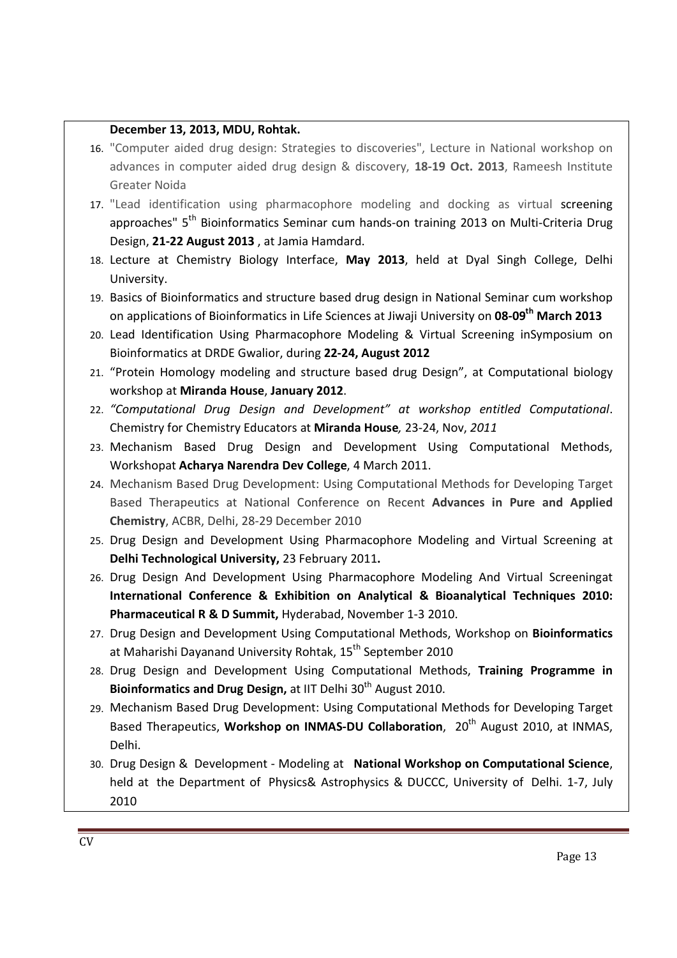#### **December 13, 2013, MDU, Rohtak.**

- 16. "Computer aided drug design: Strategies to discoveries", Lecture in National workshop on advances in computer aided drug design & discovery, **18-19 Oct. 2013**, Rameesh Institute Greater Noida
- 17. "Lead identification using pharmacophore modeling and docking as virtual screening approaches" 5<sup>th</sup> Bioinformatics Seminar cum hands-on training 2013 on Multi-Criteria Drug Design, **21-22 August 2013** , at Jamia Hamdard.
- 18. Lecture at Chemistry Biology Interface, **May 2013**, held at Dyal Singh College, Delhi University.
- 19. Basics of Bioinformatics and structure based drug design in National Seminar cum workshop on applications of Bioinformatics in Life Sciences at Jiwaji University on **08-09th March 2013**
- 20. Lead Identification Using Pharmacophore Modeling & Virtual Screening inSymposium on Bioinformatics at DRDE Gwalior, during **22-24, August 2012**
- 21. "Protein Homology modeling and structure based drug Design", at Computational biology workshop at **Miranda House**, **January 2012**.
- 22. *"Computational Drug Design and Development" at workshop entitled Computational*. Chemistry for Chemistry Educators at **Miranda House***,* 23-24, Nov, *2011*
- 23. Mechanism Based Drug Design and Development Using Computational Methods, Workshopat **Acharya Narendra Dev College**, 4 March 2011.
- 24. Mechanism Based Drug Development: Using Computational Methods for Developing Target Based Therapeutics at National Conference on Recent **Advances in Pure and Applied Chemistry**, ACBR, Delhi, 28-29 December 2010
- 25. Drug Design and Development Using Pharmacophore Modeling and Virtual Screening at **Delhi Technological University,** 23 February 2011**.**
- 26. Drug Design And Development Using Pharmacophore Modeling And Virtual Screeningat **International Conference & Exhibition on Analytical & Bioanalytical Techniques 2010: Pharmaceutical R & D Summit,** Hyderabad, November 1-3 2010.
- 27. Drug Design and Development Using Computational Methods, Workshop on **Bioinformatics** at Maharishi Dayanand University Rohtak, 15<sup>th</sup> September 2010
- 28. Drug Design and Development Using Computational Methods, **Training Programme in**  Bioinformatics and Drug Design, at IIT Delhi 30<sup>th</sup> August 2010.
- 29. Mechanism Based Drug Development: Using Computational Methods for Developing Target Based Therapeutics, **Workshop on INMAS-DU Collaboration**, 20th August 2010, at INMAS, Delhi.
- 30. Drug Design & Development Modeling at **National Workshop on Computational Science**, held at the Department of Physics& Astrophysics & DUCCC, University of Delhi. 1-7, July 2010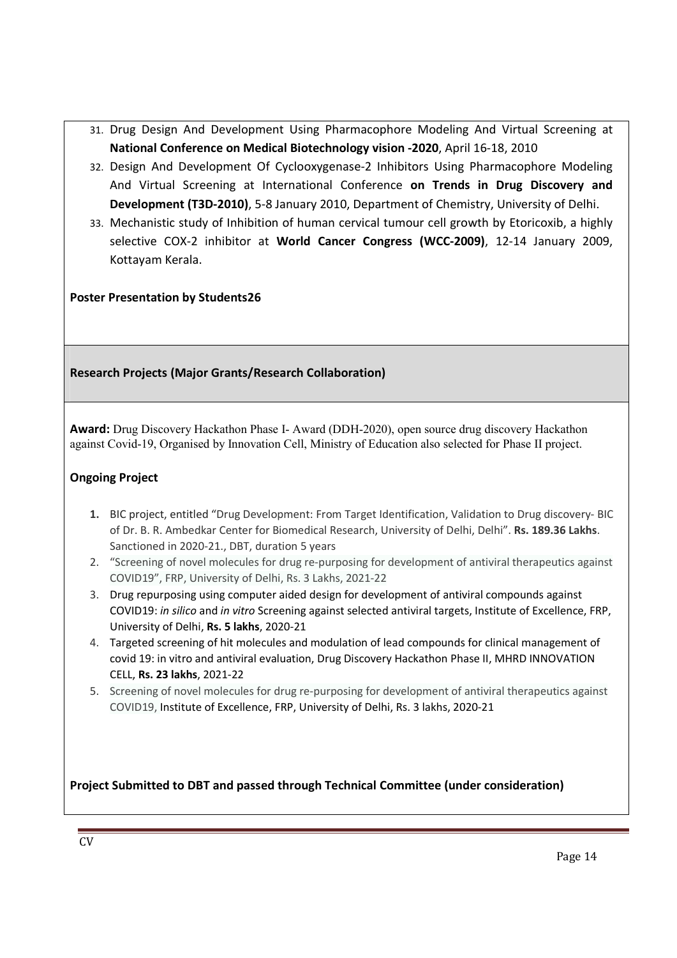- 31. Drug Design And Development Using Pharmacophore Modeling And Virtual Screening at **National Conference on Medical Biotechnology vision -2020**, April 16-18, 2010
- 32. Design And Development Of Cyclooxygenase-2 Inhibitors Using Pharmacophore Modeling And Virtual Screening at International Conference **on Trends in Drug Discovery and Development (T3D-2010)**, 5-8 January 2010, Department of Chemistry, University of Delhi.
- 33. Mechanistic study of Inhibition of human cervical tumour cell growth by Etoricoxib, a highly selective COX-2 inhibitor at **World Cancer Congress (WCC-2009)**, 12-14 January 2009, Kottayam Kerala.

## **Poster Presentation by Students26**

## **Research Projects (Major Grants/Research Collaboration)**

**Award:** Drug Discovery Hackathon Phase I- Award (DDH-2020), open source drug discovery Hackathon against Covid-19, Organised by Innovation Cell, Ministry of Education also selected for Phase II project.

## **Ongoing Project**

- **1.** BIC project, entitled "Drug Development: From Target Identification, Validation to Drug discovery- BIC of Dr. B. R. Ambedkar Center for Biomedical Research, University of Delhi, Delhi". **Rs. 189.36 Lakhs**. Sanctioned in 2020-21., DBT, duration 5 years
- 2. "Screening of novel molecules for drug re-purposing for development of antiviral therapeutics against COVID19", FRP, University of Delhi, Rs. 3 Lakhs, 2021-22
- 3. Drug repurposing using computer aided design for development of antiviral compounds against COVID19: *in silico* and *in vitro* Screening against selected antiviral targets, Institute of Excellence, FRP, University of Delhi, **Rs. 5 lakhs**, 2020-21
- 4. Targeted screening of hit molecules and modulation of lead compounds for clinical management of covid 19: in vitro and antiviral evaluation, Drug Discovery Hackathon Phase II, MHRD INNOVATION CELL, **Rs. 23 lakhs**, 2021-22
- 5. Screening of novel molecules for drug re-purposing for development of antiviral therapeutics against COVID19, Institute of Excellence, FRP, University of Delhi, Rs. 3 lakhs, 2020-21

**Project Submitted to DBT and passed through Technical Committee (under consideration)**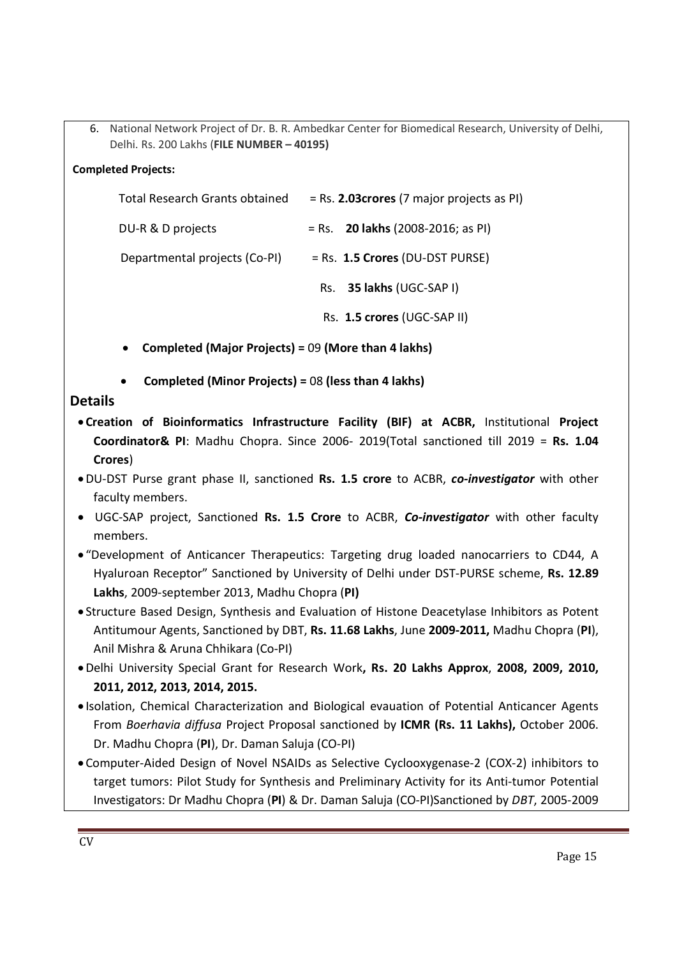6. National Network Project of Dr. B. R. Ambedkar Center for Biomedical Research, University of Delhi, Delhi. Rs. 200 Lakhs (**FILE NUMBER – 40195)**

## **Completed Projects:**

| Total Research Grants obtained | $=$ Rs. 2.03 crores (7 major projects as PI) |  |  |
|--------------------------------|----------------------------------------------|--|--|
| DU-R & D projects              | $=$ Rs. <b>20 lakhs</b> (2008-2016; as PI)   |  |  |
| Departmental projects (Co-PI)  | $=$ Rs. 1.5 Crores (DU-DST PURSE)            |  |  |
|                                | Rs. 35 lakhs (UGC-SAP I)                     |  |  |
|                                | Rs. 1.5 crores (UGC-SAP II)                  |  |  |

- **Completed (Major Projects) =** 09 **(More than 4 lakhs)**
- **Completed (Minor Projects) =** 08 **(less than 4 lakhs)**

## **Details**

- **Creation of Bioinformatics Infrastructure Facility (BIF) at ACBR,** Institutional **Project Coordinator& PI**: Madhu Chopra. Since 2006- 2019(Total sanctioned till 2019 = **Rs. 1.04 Crores**)
- DU-DST Purse grant phase II, sanctioned **Rs. 1.5 crore** to ACBR, *co-investigator* with other faculty members.
- UGC-SAP project, Sanctioned **Rs. 1.5 Crore** to ACBR, *Co-investigator* with other faculty members.
- "Development of Anticancer Therapeutics: Targeting drug loaded nanocarriers to CD44, A Hyaluroan Receptor" Sanctioned by University of Delhi under DST-PURSE scheme, **Rs. 12.89 Lakhs**, 2009-september 2013, Madhu Chopra (**PI)**
- Structure Based Design, Synthesis and Evaluation of Histone Deacetylase Inhibitors as Potent Antitumour Agents, Sanctioned by DBT, **Rs. 11.68 Lakhs**, June **2009-2011,** Madhu Chopra (**PI**), Anil Mishra & Aruna Chhikara (Co-PI)
- Delhi University Special Grant for Research Work**, Rs. 20 Lakhs Approx**, **2008, 2009, 2010, 2011, 2012, 2013, 2014, 2015.**
- Isolation, Chemical Characterization and Biological evauation of Potential Anticancer Agents From *Boerhavia diffusa* Project Proposal sanctioned by **ICMR (Rs. 11 Lakhs),** October 2006. Dr. Madhu Chopra (**PI**), Dr. Daman Saluja (CO-PI)
- Computer-Aided Design of Novel NSAIDs as Selective Cyclooxygenase-2 (COX-2) inhibitors to target tumors: Pilot Study for Synthesis and Preliminary Activity for its Anti-tumor Potential Investigators: Dr Madhu Chopra (**PI**) & Dr. Daman Saluja (CO-PI)Sanctioned by *DBT*, 2005-2009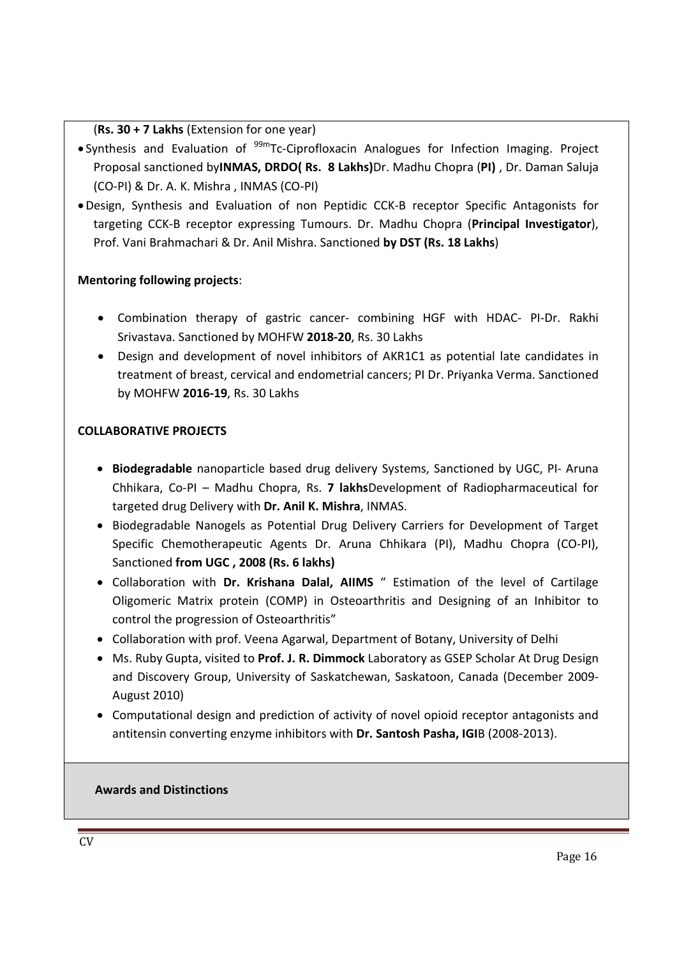#### (**Rs. 30 + 7 Lakhs** (Extension for one year)

- $\bullet$  Synthesis and Evaluation of  $99m$ Tc-Ciprofloxacin Analogues for Infection Imaging. Project Proposal sanctioned by**INMAS, DRDO( Rs. 8 Lakhs)**Dr. Madhu Chopra (**PI)** , Dr. Daman Saluja (CO-PI) & Dr. A. K. Mishra , INMAS (CO-PI)
- Design, Synthesis and Evaluation of non Peptidic CCK-B receptor Specific Antagonists for targeting CCK-B receptor expressing Tumours. Dr. Madhu Chopra (**Principal Investigator**), Prof. Vani Brahmachari & Dr. Anil Mishra. Sanctioned **by DST (Rs. 18 Lakhs**)

## **Mentoring following projects**:

- Combination therapy of gastric cancer- combining HGF with HDAC- PI-Dr. Rakhi Srivastava. Sanctioned by MOHFW **2018-20**, Rs. 30 Lakhs
- Design and development of novel inhibitors of AKR1C1 as potential late candidates in treatment of breast, cervical and endometrial cancers; PI Dr. Priyanka Verma. Sanctioned by MOHFW **2016-19**, Rs. 30 Lakhs

## **COLLABORATIVE PROJECTS**

- **Biodegradable** nanoparticle based drug delivery Systems, Sanctioned by UGC, PI- Aruna Chhikara, Co-PI – Madhu Chopra, Rs. **7 lakhs**Development of Radiopharmaceutical for targeted drug Delivery with **Dr. Anil K. Mishra**, INMAS.
- Biodegradable Nanogels as Potential Drug Delivery Carriers for Development of Target Specific Chemotherapeutic Agents Dr. Aruna Chhikara (PI), Madhu Chopra (CO-PI), Sanctioned **from UGC , 2008 (Rs. 6 lakhs)**
- Collaboration with **Dr. Krishana Dalal, AIIMS** " Estimation of the level of Cartilage Oligomeric Matrix protein (COMP) in Osteoarthritis and Designing of an Inhibitor to control the progression of Osteoarthritis"
- Collaboration with prof. Veena Agarwal, Department of Botany, University of Delhi
- Ms. Ruby Gupta, visited to **Prof. J. R. Dimmock** Laboratory as GSEP Scholar At Drug Design and Discovery Group, University of Saskatchewan, Saskatoon, Canada (December 2009- August 2010)
- Computational design and prediction of activity of novel opioid receptor antagonists and antitensin converting enzyme inhibitors with **Dr. Santosh Pasha, IGI**B (2008-2013).

#### **Awards and Distinctions**